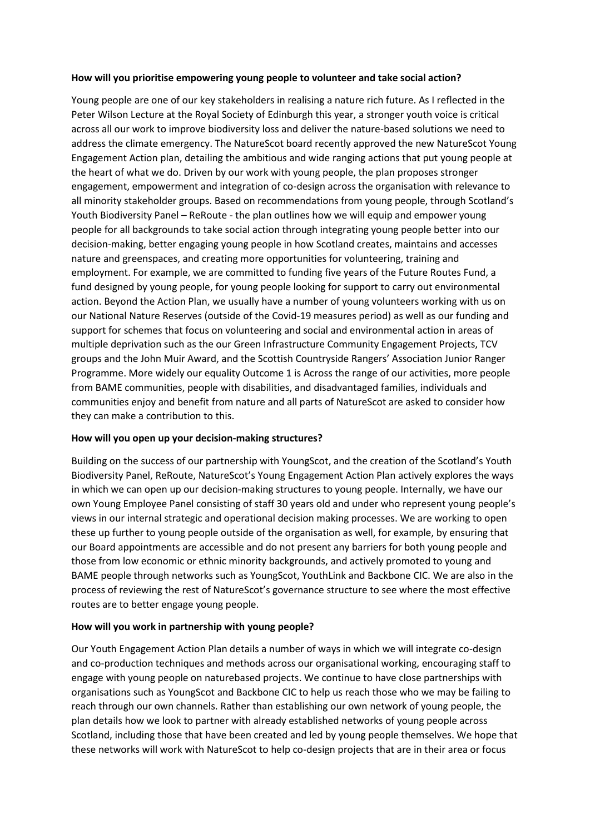## **How will you prioritise empowering young people to volunteer and take social action?**

Young people are one of our key stakeholders in realising a nature rich future. As I reflected in the Peter Wilson Lecture at the Royal Society of Edinburgh this year, a stronger youth voice is critical across all our work to improve biodiversity loss and deliver the nature-based solutions we need to address the climate emergency. The NatureScot board recently approved the new NatureScot Young Engagement Action plan, detailing the ambitious and wide ranging actions that put young people at the heart of what we do. Driven by our work with young people, the plan proposes stronger engagement, empowerment and integration of co-design across the organisation with relevance to all minority stakeholder groups. Based on recommendations from young people, through Scotland's Youth Biodiversity Panel – ReRoute - the plan outlines how we will equip and empower young people for all backgrounds to take social action through integrating young people better into our decision-making, better engaging young people in how Scotland creates, maintains and accesses nature and greenspaces, and creating more opportunities for volunteering, training and employment. For example, we are committed to funding five years of the Future Routes Fund, a fund designed by young people, for young people looking for support to carry out environmental action. Beyond the Action Plan, we usually have a number of young volunteers working with us on our National Nature Reserves (outside of the Covid-19 measures period) as well as our funding and support for schemes that focus on volunteering and social and environmental action in areas of multiple deprivation such as the our Green Infrastructure Community Engagement Projects, TCV groups and the John Muir Award, and the Scottish Countryside Rangers' Association Junior Ranger Programme. More widely our equality Outcome 1 is Across the range of our activities, more people from BAME communities, people with disabilities, and disadvantaged families, individuals and communities enjoy and benefit from nature and all parts of NatureScot are asked to consider how they can make a contribution to this.

### **How will you open up your decision-making structures?**

Building on the success of our partnership with YoungScot, and the creation of the Scotland's Youth Biodiversity Panel, ReRoute, NatureScot's Young Engagement Action Plan actively explores the ways in which we can open up our decision-making structures to young people. Internally, we have our own Young Employee Panel consisting of staff 30 years old and under who represent young people's views in our internal strategic and operational decision making processes. We are working to open these up further to young people outside of the organisation as well, for example, by ensuring that our Board appointments are accessible and do not present any barriers for both young people and those from low economic or ethnic minority backgrounds, and actively promoted to young and BAME people through networks such as YoungScot, YouthLink and Backbone CIC. We are also in the process of reviewing the rest of NatureScot's governance structure to see where the most effective routes are to better engage young people.

### **How will you work in partnership with young people?**

Our Youth Engagement Action Plan details a number of ways in which we will integrate co-design and co-production techniques and methods across our organisational working, encouraging staff to engage with young people on naturebased projects. We continue to have close partnerships with organisations such as YoungScot and Backbone CIC to help us reach those who we may be failing to reach through our own channels. Rather than establishing our own network of young people, the plan details how we look to partner with already established networks of young people across Scotland, including those that have been created and led by young people themselves. We hope that these networks will work with NatureScot to help co-design projects that are in their area or focus